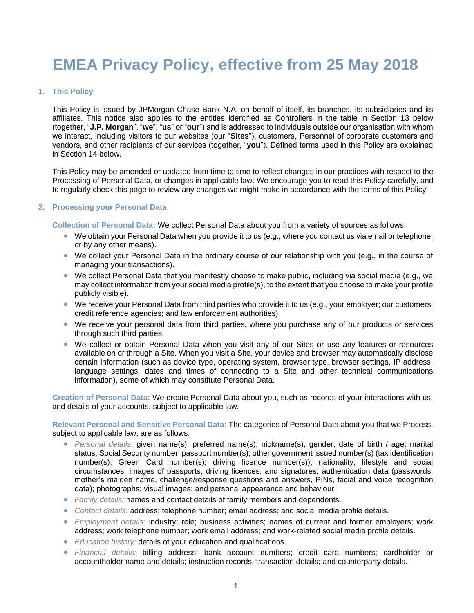# **EMEA Privacy Policy, effective from 25 May 2018**

# **1. This Policy**

This Policy is issued by JPMorgan Chase Bank N.A. on behalf of itself, its branches, its subsidiaries and its affiliates. This notice also applies to the entities identified as Controllers in the table in Section 13 below (together, "**J.P. Morgan**", "**we**", "**us**" or "**our**") and is addressed to individuals outside our organisation with whom we interact, including visitors to our websites (our "**Sites**"), customers, Personnel of corporate customers and vendors, and other recipients of our services (together, "**you**"). Defined terms used in this Policy are explained in Section [14](#page-9-0) below.

This Policy may be amended or updated from time to time to reflect changes in our practices with respect to the Processing of Personal Data, or changes in applicable law. We encourage you to read this Policy carefully, and to regularly check this page to review any changes we might make in accordance with the terms of this Policy.

# **2. Processing your Personal Data**

**Collection of Personal Data:** We collect Personal Data about you from a variety of sources as follows:

- We obtain your Personal Data when you provide it to us (e.g., where you contact us via email or telephone, or by any other means).
- We collect your Personal Data in the ordinary course of our relationship with you (e.g., in the course of managing your transactions).
- We collect Personal Data that you manifestly choose to make public, including via social media (e.g., we may collect information from your social media profile(s), to the extent that you choose to make your profile publicly visible).
- We receive your Personal Data from third parties who provide it to us (e.g., your employer; our customers; credit reference agencies; and law enforcement authorities).
- We receive your personal data from third parties, where you purchase any of our products or services through such third parties.
- We collect or obtain Personal Data when you visit any of our Sites or use any features or resources available on or through a Site. When you visit a Site, your device and browser may automatically disclose certain information (such as device type, operating system, browser type, browser settings, IP address, language settings, dates and times of connecting to a Site and other technical communications information), some of which may constitute Personal Data.

**Creation of Personal Data:** We create Personal Data about you, such as records of your interactions with us, and details of your accounts, subject to applicable law.

**Relevant Personal and Sensitive Personal Data:** The categories of Personal Data about you that we Process, subject to applicable law, are as follows:

- *Personal details:* given name(s); preferred name(s); nickname(s), gender; date of birth / age; marital status; Social Security number; passport number(s); other government issued number(s) (tax identification number(s), Green Card number(s); driving licence number(s)); nationality; lifestyle and social circumstances; images of passports, driving licences, and signatures; authentication data (passwords, mother's maiden name, challenge/response questions and answers, PINs, facial and voice recognition data); photographs; visual images; and personal appearance and behaviour.
- *Family details:* names and contact details of family members and dependents.
- *Contact details:* address; telephone number; email address; and social media profile details.
- *Employment details:* industry; role; business activities; names of current and former employers; work address; work telephone number; work email address; and work-related social media profile details.
- *Education history:* details of your education and qualifications.
- *Financial details:* billing address; bank account numbers; credit card numbers; cardholder or accountholder name and details; instruction records; transaction details; and counterparty details.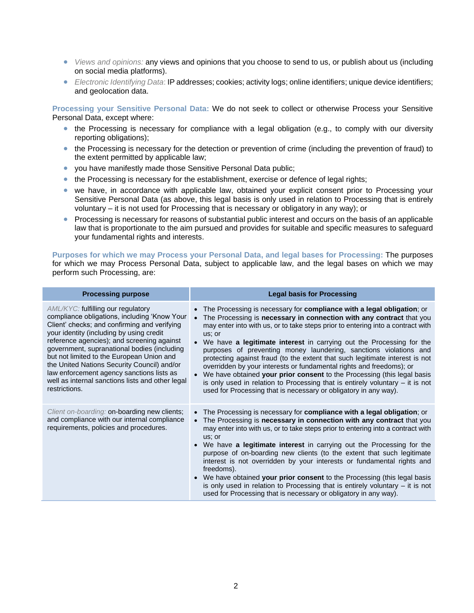- *Views and opinions:* any views and opinions that you choose to send to us, or publish about us (including on social media platforms).
- *Electronic Identifying Data*: IP addresses; cookies; activity logs; online identifiers; unique device identifiers; and geolocation data.

**Processing your Sensitive Personal Data:** We do not seek to collect or otherwise Process your Sensitive Personal Data, except where:

- the Processing is necessary for compliance with a legal obligation (e.g., to comply with our diversity reporting obligations);
- the Processing is necessary for the detection or prevention of crime (including the prevention of fraud) to the extent permitted by applicable law;
- you have manifestly made those Sensitive Personal Data public;
- the Processing is necessary for the establishment, exercise or defence of legal rights;
- we have, in accordance with applicable law, obtained your explicit consent prior to Processing your Sensitive Personal Data (as above, this legal basis is only used in relation to Processing that is entirely voluntary – it is not used for Processing that is necessary or obligatory in any way); or
- Processing is necessary for reasons of substantial public interest and occurs on the basis of an applicable law that is proportionate to the aim pursued and provides for suitable and specific measures to safeguard your fundamental rights and interests.

**Purposes for which we may Process your Personal Data, and legal bases for Processing:** The purposes for which we may Process Personal Data, subject to applicable law, and the legal bases on which we may perform such Processing, are:

| <b>Processing purpose</b>                                                                                                                                                                                                                                                                                                                                                                                                                                                                 | <b>Legal basis for Processing</b>                                                                                                                                                                                                                                                                                                                                                                                                                                                                                                                                                                                                                                                                                                                                                        |
|-------------------------------------------------------------------------------------------------------------------------------------------------------------------------------------------------------------------------------------------------------------------------------------------------------------------------------------------------------------------------------------------------------------------------------------------------------------------------------------------|------------------------------------------------------------------------------------------------------------------------------------------------------------------------------------------------------------------------------------------------------------------------------------------------------------------------------------------------------------------------------------------------------------------------------------------------------------------------------------------------------------------------------------------------------------------------------------------------------------------------------------------------------------------------------------------------------------------------------------------------------------------------------------------|
| AML/KYC: fulfilling our regulatory<br>compliance obligations, including 'Know Your<br>Client' checks; and confirming and verifying<br>your identity (including by using credit<br>reference agencies); and screening against<br>government, supranational bodies (including<br>but not limited to the European Union and<br>the United Nations Security Council) and/or<br>law enforcement agency sanctions lists as<br>well as internal sanctions lists and other legal<br>restrictions. | • The Processing is necessary for compliance with a legal obligation; or<br>The Processing is necessary in connection with any contract that you<br>may enter into with us, or to take steps prior to entering into a contract with<br>us; or<br>• We have a legitimate interest in carrying out the Processing for the<br>purposes of preventing money laundering, sanctions violations and<br>protecting against fraud (to the extent that such legitimate interest is not<br>overridden by your interests or fundamental rights and freedoms); or<br>• We have obtained your prior consent to the Processing (this legal basis<br>is only used in relation to Processing that is entirely voluntary $-$ it is not<br>used for Processing that is necessary or obligatory in any way). |
| Client on-boarding: on-boarding new clients;<br>and compliance with our internal compliance<br>requirements, policies and procedures.                                                                                                                                                                                                                                                                                                                                                     | • The Processing is necessary for <b>compliance with a legal obligation</b> ; or<br>The Processing is necessary in connection with any contract that you<br>may enter into with us, or to take steps prior to entering into a contract with<br>us; or<br>• We have a legitimate interest in carrying out the Processing for the<br>purpose of on-boarding new clients (to the extent that such legitimate<br>interest is not overridden by your interests or fundamental rights and<br>freedoms).<br>• We have obtained your prior consent to the Processing (this legal basis<br>is only used in relation to Processing that is entirely voluntary $-$ it is not<br>used for Processing that is necessary or obligatory in any way).                                                    |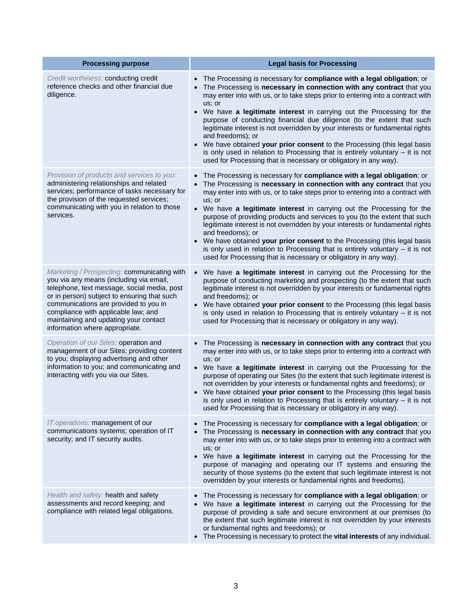| <b>Processing purpose</b>                                                                                                                                                                                                                                                                                                                       | <b>Legal basis for Processing</b>                                                                                                                                                                                                                                                                                                                                                                                                                                                                                                                                                                                                                                                                                                                        |
|-------------------------------------------------------------------------------------------------------------------------------------------------------------------------------------------------------------------------------------------------------------------------------------------------------------------------------------------------|----------------------------------------------------------------------------------------------------------------------------------------------------------------------------------------------------------------------------------------------------------------------------------------------------------------------------------------------------------------------------------------------------------------------------------------------------------------------------------------------------------------------------------------------------------------------------------------------------------------------------------------------------------------------------------------------------------------------------------------------------------|
| Credit worthiness: conducting credit<br>reference checks and other financial due<br>diligence.                                                                                                                                                                                                                                                  | The Processing is necessary for compliance with a legal obligation; or<br>The Processing is necessary in connection with any contract that you<br>may enter into with us, or to take steps prior to entering into a contract with<br>us; or<br>• We have a legitimate interest in carrying out the Processing for the<br>purpose of conducting financial due diligence (to the extent that such<br>legitimate interest is not overridden by your interests or fundamental rights<br>and freedoms); or<br>We have obtained your prior consent to the Processing (this legal basis<br>is only used in relation to Processing that is entirely voluntary $-$ it is not<br>used for Processing that is necessary or obligatory in any way).                  |
| Provision of products and services to you:<br>administering relationships and related<br>services; performance of tasks necessary for<br>the provision of the requested services;<br>communicating with you in relation to those<br>services.                                                                                                   | The Processing is necessary for compliance with a legal obligation; or<br>The Processing is necessary in connection with any contract that you<br>$\bullet$<br>may enter into with us, or to take steps prior to entering into a contract with<br>us; or<br>• We have a legitimate interest in carrying out the Processing for the<br>purpose of providing products and services to you (to the extent that such<br>legitimate interest is not overridden by your interests or fundamental rights<br>and freedoms); or<br>We have obtained your prior consent to the Processing (this legal basis<br>is only used in relation to Processing that is entirely voluntary $-$ it is not<br>used for Processing that is necessary or obligatory in any way). |
| Marketing / Prospecting: communicating with<br>you via any means (including via email,<br>telephone, text message, social media, post<br>or in person) subject to ensuring that such<br>communications are provided to you in<br>compliance with applicable law; and<br>maintaining and updating your contact<br>information where appropriate. | We have a legitimate interest in carrying out the Processing for the<br>$\bullet$<br>purpose of conducting marketing and prospecting (to the extent that such<br>legitimate interest is not overridden by your interests or fundamental rights<br>and freedoms); or<br>We have obtained your prior consent to the Processing (this legal basis<br>is only used in relation to Processing that is entirely voluntary $-$ it is not<br>used for Processing that is necessary or obligatory in any way).                                                                                                                                                                                                                                                    |
| Operation of our Sites: operation and<br>management of our Sites; providing content<br>to you; displaying advertising and other<br>information to you; and communicating and<br>interacting with you via our Sites.                                                                                                                             | The Processing is necessary in connection with any contract that you<br>may enter into with us, or to take steps prior to entering into a contract with<br>us; or<br>• We have a legitimate interest in carrying out the Processing for the<br>purpose of operating our Sites (to the extent that such legitimate interest is<br>not overridden by your interests or fundamental rights and freedoms); or<br>• We have obtained your prior consent to the Processing (this legal basis<br>is only used in relation to Processing that is entirely voluntary $-$ it is not<br>used for Processing that is necessary or obligatory in any way).                                                                                                            |
| IT operations: management of our<br>communications systems; operation of IT<br>security; and IT security audits.                                                                                                                                                                                                                                | The Processing is necessary for compliance with a legal obligation; or<br>The Processing is necessary in connection with any contract that you<br>may enter into with us, or to take steps prior to entering into a contract with<br>us; or<br>We have a legitimate interest in carrying out the Processing for the<br>$\bullet$<br>purpose of managing and operating our IT systems and ensuring the<br>security of those systems (to the extent that such legitimate interest is not<br>overridden by your interests or fundamental rights and freedoms).                                                                                                                                                                                              |
| Health and safety: health and safety<br>assessments and record keeping; and<br>compliance with related legal obligations.                                                                                                                                                                                                                       | The Processing is necessary for compliance with a legal obligation; or<br>• We have a legitimate interest in carrying out the Processing for the<br>purpose of providing a safe and secure environment at our premises (to<br>the extent that such legitimate interest is not overridden by your interests<br>or fundamental rights and freedoms); or<br>• The Processing is necessary to protect the vital interests of any individual.                                                                                                                                                                                                                                                                                                                 |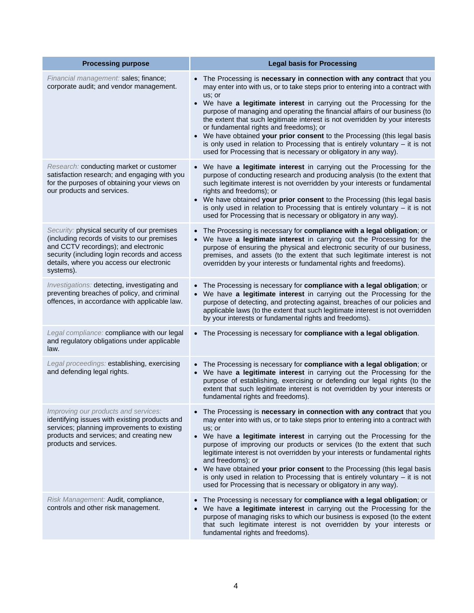| <b>Processing purpose</b>                                                                                                                                                                                                                    | <b>Legal basis for Processing</b>                                                                                                                                                                                                                                                                                                                                                                                                                                                                                                                                                                                                                                                       |
|----------------------------------------------------------------------------------------------------------------------------------------------------------------------------------------------------------------------------------------------|-----------------------------------------------------------------------------------------------------------------------------------------------------------------------------------------------------------------------------------------------------------------------------------------------------------------------------------------------------------------------------------------------------------------------------------------------------------------------------------------------------------------------------------------------------------------------------------------------------------------------------------------------------------------------------------------|
| Financial management: sales; finance;<br>corporate audit; and vendor management.                                                                                                                                                             | The Processing is necessary in connection with any contract that you<br>may enter into with us, or to take steps prior to entering into a contract with<br>us; or<br>• We have a legitimate interest in carrying out the Processing for the<br>purpose of managing and operating the financial affairs of our business (to<br>the extent that such legitimate interest is not overridden by your interests<br>or fundamental rights and freedoms); or<br>We have obtained your prior consent to the Processing (this legal basis<br>is only used in relation to Processing that is entirely voluntary $-$ it is not<br>used for Processing that is necessary or obligatory in any way). |
| Research: conducting market or customer<br>satisfaction research; and engaging with you<br>for the purposes of obtaining your views on<br>our products and services.                                                                         | • We have a legitimate interest in carrying out the Processing for the<br>purpose of conducting research and producing analysis (to the extent that<br>such legitimate interest is not overridden by your interests or fundamental<br>rights and freedoms); or<br>• We have obtained your prior consent to the Processing (this legal basis<br>is only used in relation to Processing that is entirely voluntary $-$ it is not<br>used for Processing that is necessary or obligatory in any way).                                                                                                                                                                                      |
| Security: physical security of our premises<br>(including records of visits to our premises<br>and CCTV recordings); and electronic<br>security (including login records and access<br>details, where you access our electronic<br>systems). | The Processing is necessary for compliance with a legal obligation; or<br>We have a legitimate interest in carrying out the Processing for the<br>$\bullet$<br>purpose of ensuring the physical and electronic security of our business,<br>premises, and assets (to the extent that such legitimate interest is not<br>overridden by your interests or fundamental rights and freedoms).                                                                                                                                                                                                                                                                                               |
| Investigations: detecting, investigating and<br>preventing breaches of policy, and criminal<br>offences, in accordance with applicable law.                                                                                                  | • The Processing is necessary for compliance with a legal obligation; or<br>We have a legitimate interest in carrying out the Processing for the<br>purpose of detecting, and protecting against, breaches of our policies and<br>applicable laws (to the extent that such legitimate interest is not overridden<br>by your interests or fundamental rights and freedoms).                                                                                                                                                                                                                                                                                                              |
| Legal compliance: compliance with our legal<br>and regulatory obligations under applicable<br>law.                                                                                                                                           | • The Processing is necessary for compliance with a legal obligation.                                                                                                                                                                                                                                                                                                                                                                                                                                                                                                                                                                                                                   |
| Legal proceedings: establishing, exercising<br>and defending legal rights.                                                                                                                                                                   | • The Processing is necessary for compliance with a legal obligation; or<br>• We have a legitimate interest in carrying out the Processing for the<br>purpose of establishing, exercising or defending our legal rights (to the<br>extent that such legitimate interest is not overridden by your interests or<br>fundamental rights and freedoms).                                                                                                                                                                                                                                                                                                                                     |
| Improving our products and services:<br>identifying issues with existing products and<br>services; planning improvements to existing<br>products and services; and creating new<br>products and services.                                    | • The Processing is necessary in connection with any contract that you<br>may enter into with us, or to take steps prior to entering into a contract with<br>us; or<br>• We have a legitimate interest in carrying out the Processing for the<br>purpose of improving our products or services (to the extent that such<br>legitimate interest is not overridden by your interests or fundamental rights<br>and freedoms); or<br>• We have obtained your prior consent to the Processing (this legal basis<br>is only used in relation to Processing that is entirely voluntary $-$ it is not<br>used for Processing that is necessary or obligatory in any way).                       |
| Risk Management: Audit, compliance,<br>controls and other risk management.                                                                                                                                                                   | The Processing is necessary for compliance with a legal obligation; or<br>We have a legitimate interest in carrying out the Processing for the<br>purpose of managing risks to which our business is exposed (to the extent<br>that such legitimate interest is not overridden by your interests or<br>fundamental rights and freedoms).                                                                                                                                                                                                                                                                                                                                                |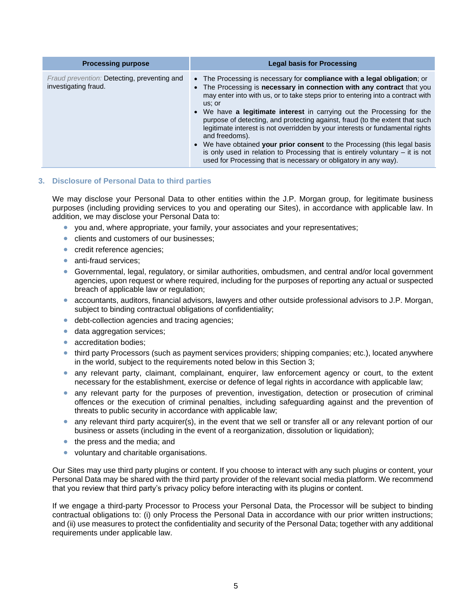| <b>Processing purpose</b>                                           | <b>Legal basis for Processing</b>                                                                                                                                                                                                                                                                                                                                                                                                                                                                                                                                                                                                                                                                                                                        |
|---------------------------------------------------------------------|----------------------------------------------------------------------------------------------------------------------------------------------------------------------------------------------------------------------------------------------------------------------------------------------------------------------------------------------------------------------------------------------------------------------------------------------------------------------------------------------------------------------------------------------------------------------------------------------------------------------------------------------------------------------------------------------------------------------------------------------------------|
| Fraud prevention: Detecting, preventing and<br>investigating fraud. | • The Processing is necessary for <b>compliance with a legal obligation</b> ; or<br>• The Processing is necessary in connection with any contract that you<br>may enter into with us, or to take steps prior to entering into a contract with<br>us; or<br>• We have a legitimate interest in carrying out the Processing for the<br>purpose of detecting, and protecting against, fraud (to the extent that such<br>legitimate interest is not overridden by your interests or fundamental rights<br>and freedoms).<br>• We have obtained your prior consent to the Processing (this legal basis<br>is only used in relation to Processing that is entirely voluntary $-$ it is not<br>used for Processing that is necessary or obligatory in any way). |

# <span id="page-4-0"></span>**3. Disclosure of Personal Data to third parties**

We may disclose your Personal Data to other entities within the J.P. Morgan group, for legitimate business purposes (including providing services to you and operating our Sites), in accordance with applicable law. In addition, we may disclose your Personal Data to:

- you and, where appropriate, your family, your associates and your representatives;
- clients and customers of our businesses;
- credit reference agencies;
- anti-fraud services;
- Governmental, legal, regulatory, or similar authorities, ombudsmen, and central and/or local government agencies, upon request or where required, including for the purposes of reporting any actual or suspected breach of applicable law or regulation;
- accountants, auditors, financial advisors, lawyers and other outside professional advisors to J.P. Morgan, subject to binding contractual obligations of confidentiality;
- debt-collection agencies and tracing agencies;
- **data aggregation services;**
- accreditation bodies:
- third party Processors (such as payment services providers; shipping companies; etc.), located anywhere in the world, subject to the requirements noted below in this Section [3;](#page-4-0)
- any relevant party, claimant, complainant, enquirer, law enforcement agency or court, to the extent necessary for the establishment, exercise or defence of legal rights in accordance with applicable law;
- any relevant party for the purposes of prevention, investigation, detection or prosecution of criminal offences or the execution of criminal penalties, including safeguarding against and the prevention of threats to public security in accordance with applicable law;
- any relevant third party acquirer(s), in the event that we sell or transfer all or any relevant portion of our business or assets (including in the event of a reorganization, dissolution or liquidation);
- the press and the media; and
- voluntary and charitable organisations.

Our Sites may use third party plugins or content. If you choose to interact with any such plugins or content, your Personal Data may be shared with the third party provider of the relevant social media platform. We recommend that you review that third party's privacy policy before interacting with its plugins or content.

If we engage a third-party Processor to Process your Personal Data, the Processor will be subject to binding contractual obligations to: (i) only Process the Personal Data in accordance with our prior written instructions; and (ii) use measures to protect the confidentiality and security of the Personal Data; together with any additional requirements under applicable law.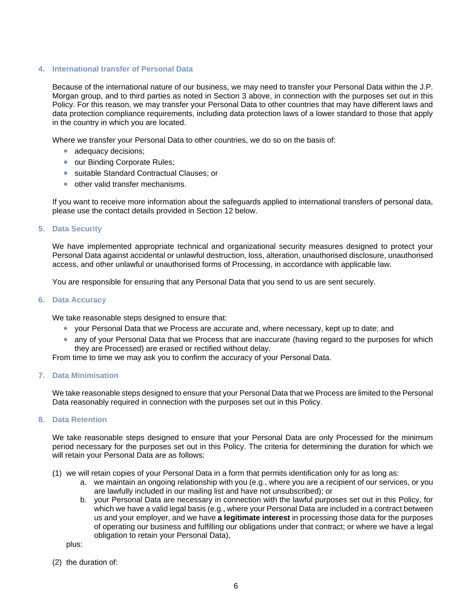# **4. International transfer of Personal Data**

Because of the international nature of our business, we may need to transfer your Personal Data within the J.P. Morgan group, and to third parties as noted in Section [3](#page-4-0) above, in connection with the purposes set out in this Policy. For this reason, we may transfer your Personal Data to other countries that may have different laws and data protection compliance requirements, including data protection laws of a lower standard to those that apply in the country in which you are located.

Where we transfer your Personal Data to other countries, we do so on the basis of:

- adequacy decisions;
- our Binding Corporate Rules;
- suitable Standard Contractual Clauses; or
- other valid transfer mechanisms.

If you want to receive more information about the safeguards applied to international transfers of personal data, please use the contact details provided in Section [12](#page-7-0) below.

#### **5. Data Security**

We have implemented appropriate technical and organizational security measures designed to protect your Personal Data against accidental or unlawful destruction, loss, alteration, unauthorised disclosure, unauthorised access, and other unlawful or unauthorised forms of Processing, in accordance with applicable law.

You are responsible for ensuring that any Personal Data that you send to us are sent securely.

#### **6. Data Accuracy**

We take reasonable steps designed to ensure that:

- your Personal Data that we Process are accurate and, where necessary, kept up to date; and
- any of your Personal Data that we Process that are inaccurate (having regard to the purposes for which they are Processed) are erased or rectified without delay.

From time to time we may ask you to confirm the accuracy of your Personal Data.

# **7. Data Minimisation**

We take reasonable steps designed to ensure that your Personal Data that we Process are limited to the Personal Data reasonably required in connection with the purposes set out in this Policy.

# **8. Data Retention**

We take reasonable steps designed to ensure that your Personal Data are only Processed for the minimum period necessary for the purposes set out in this Policy. The criteria for determining the duration for which we will retain your Personal Data are as follows:

- (1) we will retain copies of your Personal Data in a form that permits identification only for as long as:
	- a. we maintain an ongoing relationship with you (e.g., where you are a recipient of our services, or you are lawfully included in our mailing list and have not unsubscribed); or
	- b. your Personal Data are necessary in connection with the lawful purposes set out in this Policy, for which we have a valid legal basis (e.g., where your Personal Data are included in a contract between us and your employer, and we have **a legitimate interest** in processing those data for the purposes of operating our business and fulfilling our obligations under that contract; or where we have a legal obligation to retain your Personal Data),

plus:

(2) the duration of: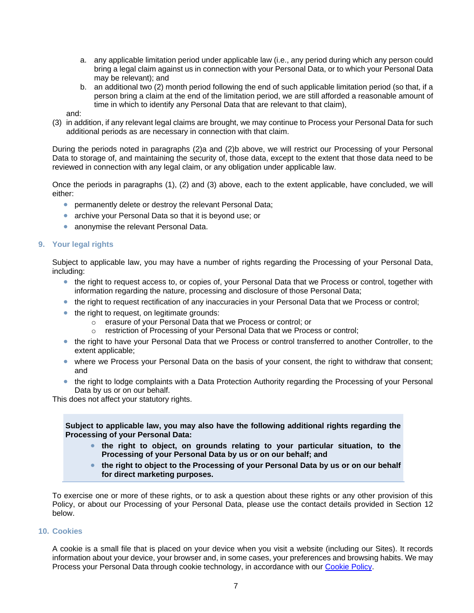- <span id="page-6-0"></span>a. any applicable limitation period under applicable law (i.e., any period during which any person could bring a legal claim against us in connection with your Personal Data, or to which your Personal Data may be relevant); and
- b. an additional two (2) month period following the end of such applicable limitation period (so that, if a person bring a claim at the end of the limitation period, we are still afforded a reasonable amount of time in which to identify any Personal Data that are relevant to that claim),
- <span id="page-6-1"></span>and:
- (3) in addition, if any relevant legal claims are brought, we may continue to Process your Personal Data for such additional periods as are necessary in connection with that claim.

During the periods noted in paragraphs [\(2\)a](#page-6-0) and [\(2\)b](#page-6-1) above, we will restrict our Processing of your Personal Data to storage of, and maintaining the security of, those data, except to the extent that those data need to be reviewed in connection with any legal claim, or any obligation under applicable law.

Once the periods in paragraphs (1), (2) and (3) above, each to the extent applicable, have concluded, we will either:

- **•** permanently delete or destroy the relevant Personal Data;
- archive your Personal Data so that it is beyond use; or
- anonymise the relevant Personal Data.

#### **9. Your legal rights**

Subject to applicable law, you may have a number of rights regarding the Processing of your Personal Data, including:

- the right to request access to, or copies of, your Personal Data that we Process or control, together with information regarding the nature, processing and disclosure of those Personal Data;
- the right to request rectification of any inaccuracies in your Personal Data that we Process or control;
- $\bullet$  the right to request, on legitimate grounds:
	- o erasure of your Personal Data that we Process or control; or
	- o restriction of Processing of your Personal Data that we Process or control;
- the right to have your Personal Data that we Process or control transferred to another Controller, to the extent applicable;
- where we Process your Personal Data on the basis of your consent, the right to withdraw that consent; and
- the right to lodge complaints with a Data Protection Authority regarding the Processing of your Personal Data by us or on our behalf.

This does not affect your statutory rights.

**Subject to applicable law, you may also have the following additional rights regarding the Processing of your Personal Data:**

- **the right to object, on grounds relating to your particular situation, to the Processing of your Personal Data by us or on our behalf; and**
- **the right to object to the Processing of your Personal Data by us or on our behalf for direct marketing purposes.**

To exercise one or more of these rights, or to ask a question about these rights or any other provision of this Policy, or about our Processing of your Personal Data, please use the contact details provided in Section [12](#page-7-0) below.

#### **10. Cookies**

A cookie is a small file that is placed on your device when you visit a website (including our Sites). It records information about your device, your browser and, in some cases, your preferences and browsing habits. We may Process your Personal Data through cookie technology, in accordance with our [Cookie Policy.](https://www.jpmorgan.com/global/cookies)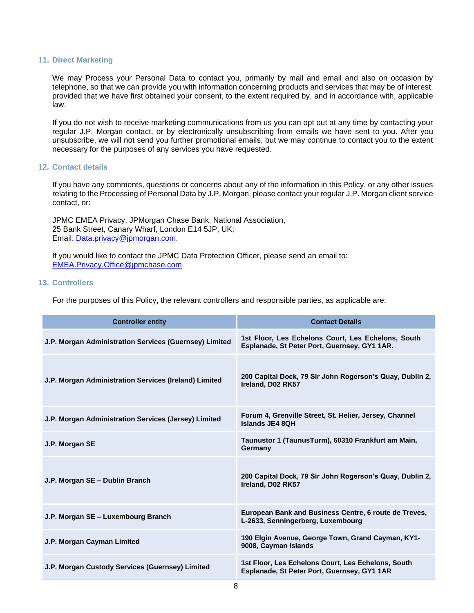# **11. Direct Marketing**

We may Process your Personal Data to contact you, primarily by mail and email and also on occasion by telephone, so that we can provide you with information concerning products and services that may be of interest, provided that we have first obtained your consent, to the extent required by, and in accordance with, applicable law.

If you do not wish to receive marketing communications from us you can opt out at any time by contacting your regular J.P. Morgan contact, or by electronically unsubscribing from emails we have sent to you. After you unsubscribe, we will not send you further promotional emails, but we may continue to contact you to the extent necessary for the purposes of any services you have requested.

# <span id="page-7-0"></span>**12. Contact details**

If you have any comments, questions or concerns about any of the information in this Policy, or any other issues relating to the Processing of Personal Data by J.P. Morgan, please contact your regular J.P. Morgan client service contact, or:

JPMC EMEA Privacy, JPMorgan Chase Bank, National Association, 25 Bank Street, Canary Wharf, London E14 5JP, UK; Email: [Data.privacy@jpmorgan.com.](mailto:Data.privacy@jpmorgan.com)

If you would like to contact the JPMC Data Protection Officer, please send an email to: [EMEA.Privacy.Office@jpmchase.com.](mailto:EMEA.Privacy.Office@jpmchase.com)

# **13. Controllers**

For the purposes of this Policy, the relevant controllers and responsible parties, as applicable are:

| <b>Controller entity</b>                               | <b>Contact Details</b>                                                                             |  |
|--------------------------------------------------------|----------------------------------------------------------------------------------------------------|--|
| J.P. Morgan Administration Services (Guernsey) Limited | 1st Floor, Les Echelons Court, Les Echelons, South<br>Esplanade, St Peter Port, Guernsey, GY1 1AR. |  |
| J.P. Morgan Administration Services (Ireland) Limited  | 200 Capital Dock, 79 Sir John Rogerson's Quay, Dublin 2,<br>Ireland, D02 RK57                      |  |
| J.P. Morgan Administration Services (Jersey) Limited   | Forum 4, Grenville Street, St. Helier, Jersey, Channel<br>Islands JE4 8QH                          |  |
| J.P. Morgan SE                                         | Taunustor 1 (TaunusTurm), 60310 Frankfurt am Main,<br>Germany                                      |  |
| J.P. Morgan SE - Dublin Branch                         | 200 Capital Dock, 79 Sir John Rogerson's Quay, Dublin 2,<br>Ireland, D02 RK57                      |  |
| J.P. Morgan SE - Luxembourg Branch                     | European Bank and Business Centre, 6 route de Treves,<br>L-2633, Senningerberg, Luxembourg         |  |
| J.P. Morgan Cayman Limited                             | 190 Elgin Avenue, George Town, Grand Cayman, KY1-<br>9008, Cayman Islands                          |  |
| J.P. Morgan Custody Services (Guernsey) Limited        | 1st Floor, Les Echelons Court, Les Echelons, South<br>Esplanade, St Peter Port, Guernsey, GY1 1AR  |  |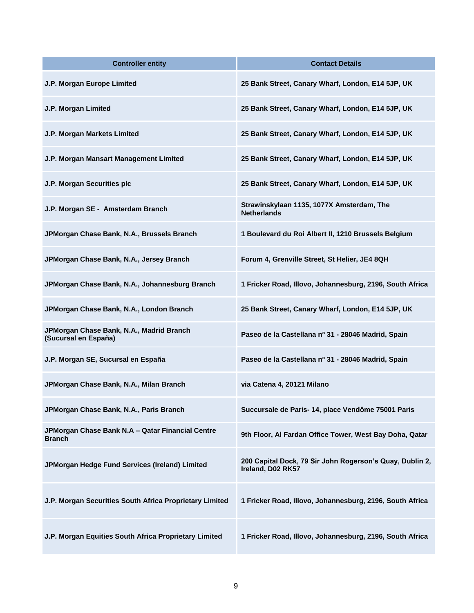| <b>Controller entity</b>                                          | <b>Contact Details</b>                                                        |  |
|-------------------------------------------------------------------|-------------------------------------------------------------------------------|--|
| J.P. Morgan Europe Limited                                        | 25 Bank Street, Canary Wharf, London, E14 5JP, UK                             |  |
| J.P. Morgan Limited                                               | 25 Bank Street, Canary Wharf, London, E14 5JP, UK                             |  |
| J.P. Morgan Markets Limited                                       | 25 Bank Street, Canary Wharf, London, E14 5JP, UK                             |  |
| J.P. Morgan Mansart Management Limited                            | 25 Bank Street, Canary Wharf, London, E14 5JP, UK                             |  |
| J.P. Morgan Securities plc                                        | 25 Bank Street, Canary Wharf, London, E14 5JP, UK                             |  |
| J.P. Morgan SE - Amsterdam Branch                                 | Strawinskylaan 1135, 1077X Amsterdam, The<br><b>Netherlands</b>               |  |
| JPMorgan Chase Bank, N.A., Brussels Branch                        | 1 Boulevard du Roi Albert II, 1210 Brussels Belgium                           |  |
| JPMorgan Chase Bank, N.A., Jersey Branch                          | Forum 4, Grenville Street, St Helier, JE4 8QH                                 |  |
| JPMorgan Chase Bank, N.A., Johannesburg Branch                    | 1 Fricker Road, Illovo, Johannesburg, 2196, South Africa                      |  |
| JPMorgan Chase Bank, N.A., London Branch                          | 25 Bank Street, Canary Wharf, London, E14 5JP, UK                             |  |
| JPMorgan Chase Bank, N.A., Madrid Branch<br>(Sucursal en España)  | Paseo de la Castellana nº 31 - 28046 Madrid, Spain                            |  |
| J.P. Morgan SE, Sucursal en España                                | Paseo de la Castellana nº 31 - 28046 Madrid, Spain                            |  |
| JPMorgan Chase Bank, N.A., Milan Branch                           | via Catena 4, 20121 Milano                                                    |  |
| JPMorgan Chase Bank, N.A., Paris Branch                           | Succursale de Paris- 14, place Vendôme 75001 Paris                            |  |
| JPMorgan Chase Bank N.A - Qatar Financial Centre<br><b>Branch</b> | 9th Floor, Al Fardan Office Tower, West Bay Doha, Qatar                       |  |
| JPMorgan Hedge Fund Services (Ireland) Limited                    | 200 Capital Dock, 79 Sir John Rogerson's Quay, Dublin 2,<br>Ireland, D02 RK57 |  |
| J.P. Morgan Securities South Africa Proprietary Limited           | 1 Fricker Road, Illovo, Johannesburg, 2196, South Africa                      |  |
| J.P. Morgan Equities South Africa Proprietary Limited             | 1 Fricker Road, Illovo, Johannesburg, 2196, South Africa                      |  |